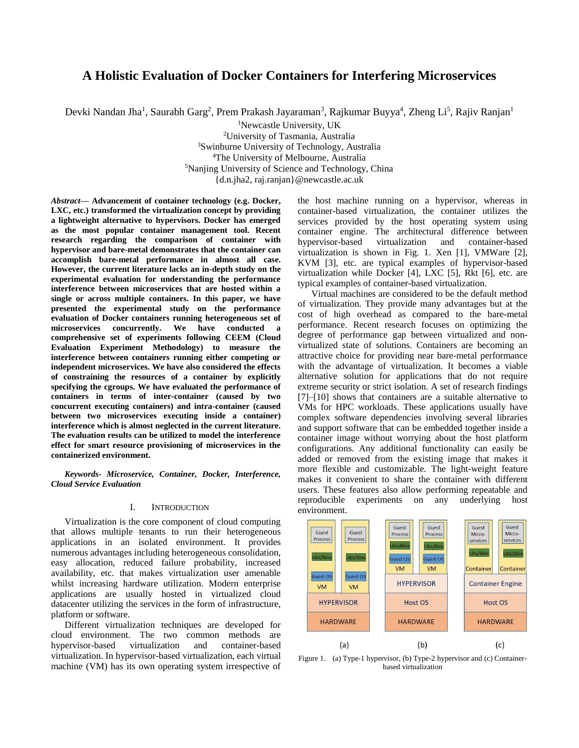# **A Holistic Evaluation of Docker Containers for Interfering Microservices**

Devki Nandan Jha<sup>1</sup>, Saurabh Garg<sup>2</sup>, Prem Prakash Jayaraman<sup>3</sup>, Rajkumar Buyya<sup>4</sup>, Zheng Li<sup>5</sup>, Rajiv Ranjan<sup>1</sup>

<sup>1</sup>Newcastle University, UK

University of Tasmania, Australia Swinburne University of Technology, Australia The University of Melbourne, Australia Nanjing University of Science and Technology, China {d.n.jha2, raj.ranjan}@newcastle.ac.uk

*Abstract***— Advancement of container technology (e.g. Docker, LXC, etc.) transformed the virtualization concept by providing a lightweight alternative to hypervisors. Docker has emerged as the most popular container management tool. Recent research regarding the comparison of container with hypervisor and bare-metal demonstrates that the container can accomplish bare-metal performance in almost all case. However, the current literature lacks an in-depth study on the experimental evaluation for understanding the performance interference between microservices that are hosted within a single or across multiple containers. In this paper, we have presented the experimental study on the performance evaluation of Docker containers running heterogeneous set of microservices concurrently. We have conducted a comprehensive set of experiments following CEEM (Cloud Evaluation Experiment Methodology) to measure the interference between containers running either competing or independent microservices. We have also considered the effects of constraining the resources of a container by explicitly specifying the cgroups. We have evaluated the performance of containers in terms of inter-container (caused by two concurrent executing containers) and intra-container (caused between two microservices executing inside a container) interference which is almost neglected in the current literature. The evaluation results can be utilized to model the interference effect for smart resource provisioning of microservices in the containerized environment.**

*Keywords- Microservice, Container, Docker, Interference, Cloud Service Evaluation*

### I. INTRODUCTION

Virtualization is the core component of cloud computing that allows multiple tenants to run their heterogeneous applications in an isolated environment. It provides numerous advantages including heterogeneous consolidation, easy allocation, reduced failure probability, increased availability, etc. that makes virtualization user amenable whilst increasing hardware utilization. Modern enterprise applications are usually hosted in virtualized cloud datacenter utilizing the services in the form of infrastructure, platform or software.

Different virtualization techniques are developed for cloud environment. The two common methods are hypervisor-based virtualization and container-based virtualization. In hypervisor-based virtualization, each virtual machine (VM) has its own operating system irrespective of the host machine running on a hypervisor, whereas in container-based virtualization, the container utilizes the services provided by the host operating system using container engine. The architectural difference between hypervisor-based virtualization and container-based virtualization is shown in Fig. 1. Xen [1], VMWare [2], KVM [3], etc. are typical examples of hypervisor-based virtualization while Docker [4], LXC [5], Rkt [6], etc. are typical examples of container-based virtualization.

Virtual machines are considered to be the default method of virtualization. They provide many advantages but at the cost of high overhead as compared to the bare-metal performance. Recent research focuses on optimizing the degree of performance gap between virtualized and nonvirtualized state of solutions. Containers are becoming an attractive choice for providing near bare-metal performance with the advantage of virtualization. It becomes a viable alternative solution for applications that do not require extreme security or strict isolation. A set of research findings [7]–[10] shows that containers are a suitable alternative to VMs for HPC workloads. These applications usually have complex software dependencies involving several libraries and support software that can be embedded together inside a container image without worrying about the host platform configurations. Any additional functionality can easily be added or removed from the existing image that makes it more flexible and customizable. The light-weight feature makes it convenient to share the container with different users. These features also allow performing repeatable and reproducible experiments on any underlying host environment.



Figure 1. (a) Type-1 hypervisor, (b) Type-2 hypervisor and (c) Containerbased virtualization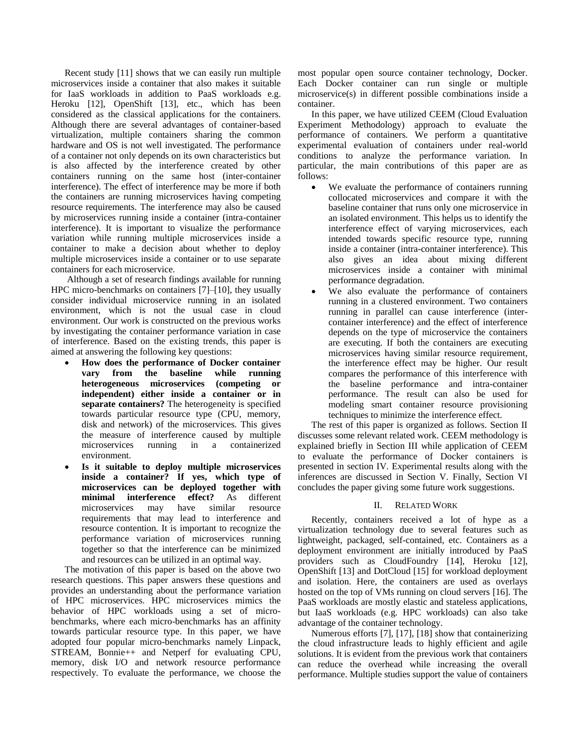Recent study [11] shows that we can easily run multiple microservices inside a container that also makes it suitable for IaaS workloads in addition to PaaS workloads e.g. Heroku [12], OpenShift [13], etc., which has been considered as the classical applications for the containers. Although there are several advantages of container-based virtualization, multiple containers sharing the common hardware and OS is not well investigated. The performance of a container not only depends on its own characteristics but is also affected by the interference created by other containers running on the same host (inter-container interference). The effect of interference may be more if both the containers are running microservices having competing resource requirements. The interference may also be caused by microservices running inside a container (intra-container interference). It is important to visualize the performance variation while running multiple microservices inside a container to make a decision about whether to deploy multiple microservices inside a container or to use separate containers for each microservice.

Although a set of research findings available for running HPC micro-benchmarks on containers [7]–[10], they usually consider individual microservice running in an isolated environment, which is not the usual case in cloud environment. Our work is constructed on the previous works by investigating the container performance variation in case of interference. Based on the existing trends, this paper is aimed at answering the following key questions:

- **How does the performance of Docker container vary from the baseline while running heterogeneous microservices (competing or independent) either inside a container or in separate containers?** The heterogeneity is specified towards particular resource type (CPU, memory, disk and network) of the microservices. This gives the measure of interference caused by multiple microservices running in a containerized environment.
- **Is it suitable to deploy multiple microservices inside a container? If yes, which type of microservices can be deployed together with**  minimal interference effect? microservices may have similar resource requirements that may lead to interference and resource contention. It is important to recognize the performance variation of microservices running together so that the interference can be minimized and resources can be utilized in an optimal way.

The motivation of this paper is based on the above two research questions. This paper answers these questions and provides an understanding about the performance variation of HPC microservices. HPC microservices mimics the behavior of HPC workloads using a set of microbenchmarks, where each micro-benchmarks has an affinity towards particular resource type. In this paper, we have adopted four popular micro-benchmarks namely Linpack, STREAM, Bonnie++ and Netperf for evaluating CPU, memory, disk I/O and network resource performance respectively. To evaluate the performance, we choose the

most popular open source container technology, Docker. Each Docker container can run single or multiple microservice(s) in different possible combinations inside a container.

In this paper, we have utilized CEEM (Cloud Evaluation Experiment Methodology) approach to evaluate the performance of containers. We perform a quantitative experimental evaluation of containers under real-world conditions to analyze the performance variation. In particular, the main contributions of this paper are as follows:

- We evaluate the performance of containers running collocated microservices and compare it with the baseline container that runs only one microservice in an isolated environment. This helps us to identify the interference effect of varying microservices, each intended towards specific resource type, running inside a container (intra-container interference). This also gives an idea about mixing different microservices inside a container with minimal performance degradation.
- We also evaluate the performance of containers running in a clustered environment. Two containers running in parallel can cause interference (intercontainer interference) and the effect of interference depends on the type of microservice the containers are executing. If both the containers are executing microservices having similar resource requirement, the interference effect may be higher. Our result compares the performance of this interference with the baseline performance and intra-container performance. The result can also be used for modeling smart container resource provisioning techniques to minimize the interference effect.

The rest of this paper is organized as follows. Section II discusses some relevant related work. CEEM methodology is explained briefly in Section III while application of CEEM to evaluate the performance of Docker containers is presented in section IV. Experimental results along with the inferences are discussed in Section V. Finally, Section VI concludes the paper giving some future work suggestions.

### II. RELATED WORK

Recently, containers received a lot of hype as a virtualization technology due to several features such as lightweight, packaged, self-contained, etc. Containers as a deployment environment are initially introduced by PaaS providers such as CloudFoundry [14], Heroku [12], OpenShift [13] and DotCloud [15] for workload deployment and isolation. Here, the containers are used as overlays hosted on the top of VMs running on cloud servers [16]. The PaaS workloads are mostly elastic and stateless applications, but IaaS workloads (e.g. HPC workloads) can also take advantage of the container technology.

Numerous efforts [7], [17], [18] show that containerizing the cloud infrastructure leads to highly efficient and agile solutions. It is evident from the previous work that containers can reduce the overhead while increasing the overall performance. Multiple studies support the value of containers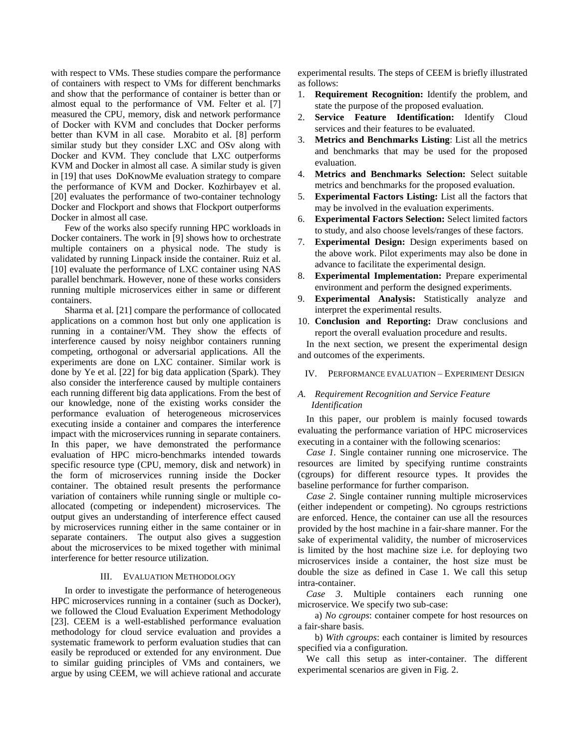with respect to VMs. These studies compare the performance of containers with respect to VMs for different benchmarks and show that the performance of container is better than or almost equal to the performance of VM. Felter et al. [7] measured the CPU, memory, disk and network performance of Docker with KVM and concludes that Docker performs better than KVM in all case. Morabito et al. [8] perform similar study but they consider LXC and OSv along with Docker and KVM. They conclude that LXC outperforms KVM and Docker in almost all case. A similar study is given in [19] that uses DoKnowMe evaluation strategy to compare the performance of KVM and Docker. Kozhirbayev et al. [20] evaluates the performance of two-container technology Docker and Flockport and shows that Flockport outperforms Docker in almost all case.

Few of the works also specify running HPC workloads in Docker containers. The work in [9] shows how to orchestrate multiple containers on a physical node. The study is validated by running Linpack inside the container. Ruiz et al. [10] evaluate the performance of LXC container using NAS parallel benchmark. However, none of these works considers running multiple microservices either in same or different containers.

Sharma et al. [21] compare the performance of collocated applications on a common host but only one application is running in a container/VM. They show the effects of interference caused by noisy neighbor containers running competing, orthogonal or adversarial applications. All the experiments are done on LXC container. Similar work is done by Ye et al. [22] for big data application (Spark). They also consider the interference caused by multiple containers each running different big data applications. From the best of our knowledge, none of the existing works consider the performance evaluation of heterogeneous microservices executing inside a container and compares the interference impact with the microservices running in separate containers. In this paper, we have demonstrated the performance evaluation of HPC micro-benchmarks intended towards specific resource type (CPU, memory, disk and network) in the form of microservices running inside the Docker container. The obtained result presents the performance variation of containers while running single or multiple coallocated (competing or independent) microservices. The output gives an understanding of interference effect caused by microservices running either in the same container or in separate containers. The output also gives a suggestion about the microservices to be mixed together with minimal interference for better resource utilization.

### III. EVALUATION METHODOLOGY

In order to investigate the performance of heterogeneous HPC microservices running in a container (such as Docker), we followed the Cloud Evaluation Experiment Methodology [23]. CEEM is a well-established performance evaluation methodology for cloud service evaluation and provides a systematic framework to perform evaluation studies that can easily be reproduced or extended for any environment. Due to similar guiding principles of VMs and containers, we argue by using CEEM, we will achieve rational and accurate

experimental results. The steps of CEEM is briefly illustrated as follows:

- 1. **Requirement Recognition:** Identify the problem, and state the purpose of the proposed evaluation.
- 2. **Service Feature Identification:** Identify Cloud services and their features to be evaluated.
- 3. **Metrics and Benchmarks Listing**: List all the metrics and benchmarks that may be used for the proposed evaluation.
- 4. **Metrics and Benchmarks Selection:** Select suitable metrics and benchmarks for the proposed evaluation.
- 5. **Experimental Factors Listing:** List all the factors that may be involved in the evaluation experiments.
- 6. **Experimental Factors Selection:** Select limited factors to study, and also choose levels/ranges of these factors.
- 7. **Experimental Design:** Design experiments based on the above work. Pilot experiments may also be done in advance to facilitate the experimental design.
- 8. **Experimental Implementation:** Prepare experimental environment and perform the designed experiments.
- 9. **Experimental Analysis:** Statistically analyze and interpret the experimental results.
- 10. **Conclusion and Reporting:** Draw conclusions and report the overall evaluation procedure and results.

In the next section, we present the experimental design and outcomes of the experiments.

IV. PERFORMANCE EVALUATION – EXPERIMENT DESIGN

## *A. Requirement Recognition and Service Feature Identification*

In this paper, our problem is mainly focused towards evaluating the performance variation of HPC microservices executing in a container with the following scenarios:

*Case 1.* Single container running one microservice. The resources are limited by specifying runtime constraints (cgroups) for different resource types. It provides the baseline performance for further comparison.

*Case 2*. Single container running multiple microservices (either independent or competing). No cgroups restrictions are enforced. Hence, the container can use all the resources provided by the host machine in a fair-share manner. For the sake of experimental validity, the number of microservices is limited by the host machine size i.e. for deploying two microservices inside a container, the host size must be double the size as defined in Case 1. We call this setup intra-container.

*Case 3*. Multiple containers each running one microservice. We specify two sub-case:

a) *No cgroups*: container compete for host resources on a fair-share basis.

b) *With cgroups*: each container is limited by resources specified via a configuration.

We call this setup as inter-container. The different experimental scenarios are given in Fig. 2.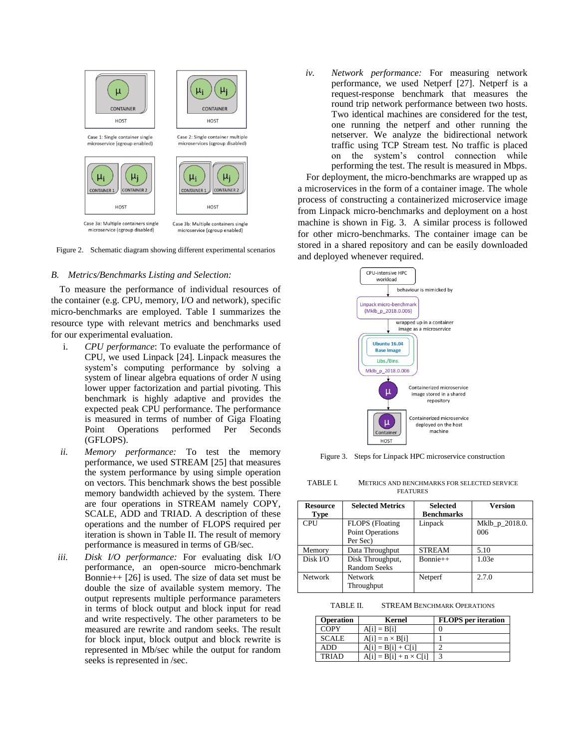

Figure 2. Schematic diagram showing different experimental scenarios

### *B. Metrics/Benchmarks Listing and Selection:*

To measure the performance of individual resources of the container (e.g. CPU, memory, I/O and network), specific micro-benchmarks are employed. Table I summarizes the resource type with relevant metrics and benchmarks used for our experimental evaluation.

- i. *CPU performance*: To evaluate the performance of CPU, we used Linpack [24]. Linpack measures the system's computing performance by solving a system of linear algebra equations of order *N* using lower upper factorization and partial pivoting. This benchmark is highly adaptive and provides the expected peak CPU performance. The performance is measured in terms of number of Giga Floating Point Operations performed Per Seconds (GFLOPS).
- *ii. Memory performance:* To test the memory performance, we used STREAM [25] that measures the system performance by using simple operation on vectors. This benchmark shows the best possible memory bandwidth achieved by the system. There are four operations in STREAM namely COPY, SCALE, ADD and TRIAD. A description of these operations and the number of FLOPS required per iteration is shown in Table II. The result of memory performance is measured in terms of GB/sec.
- *iii. Disk I/O performance:* For evaluating disk I/O performance, an open-source micro-benchmark Bonnie++ [26] is used. The size of data set must be double the size of available system memory. The output represents multiple performance parameters in terms of block output and block input for read and write respectively. The other parameters to be measured are rewrite and random seeks. The result for block input, block output and block rewrite is represented in Mb/sec while the output for random seeks is represented in /sec.

*iv. Network performance:* For measuring network performance, we used Netperf [27]. Netperf is a request-response benchmark that measures the round trip network performance between two hosts. Two identical machines are considered for the test, one running the netperf and other running the netserver. We analyze the bidirectional network traffic using TCP Stream test. No traffic is placed on the system's control connection while performing the test. The result is measured in Mbps.

For deployment, the micro-benchmarks are wrapped up as a microservices in the form of a container image. The whole process of constructing a containerized microservice image from Linpack micro-benchmarks and deployment on a host machine is shown in Fig. 3. A similar process is followed for other micro-benchmarks. The container image can be stored in a shared repository and can be easily downloaded and deployed whenever required.



Figure 3. Steps for Linpack HPC microservice construction

| TABLE L | METRICS AND BENCHMARKS FOR SELECTED SERVICE |
|---------|---------------------------------------------|
|         | <b>FEATURES</b>                             |

| <b>Resource</b> | <b>Selected Metrics</b> | <b>Selected</b>   | Version        |
|-----------------|-------------------------|-------------------|----------------|
| <b>Type</b>     |                         | <b>Benchmarks</b> |                |
| CPU             | <b>FLOPS</b> (Floating  | Linpack           | Mklb_p_2018.0. |
|                 | <b>Point Operations</b> |                   | 006            |
|                 | Per Sec)                |                   |                |
| Memory          | Data Throughput         | <b>STREAM</b>     | 5.10           |
| Disk I/O        | Disk Throughput,        | $Bonnie++$        | 1.03e          |
|                 | <b>Random Seeks</b>     |                   |                |
| <b>Network</b>  | <b>Network</b>          | Netperf           | 2.7.0          |
|                 | Throughput              |                   |                |

TABLE II. STREAM BENCHMARK OPERATIONS

| <b>Operation</b> | Kernel                                  | <b>FLOPS</b> per iteration |
|------------------|-----------------------------------------|----------------------------|
| <b>COPY</b>      | $=$ B[i]                                |                            |
| <b>SCALE</b>     | $\text{Ai} = \text{n} \times \text{Bi}$ |                            |
| ADD              | $A[i] = B[i] + C[i]$                    |                            |
| <b>TRIAD</b>     | $A[i] = B[i] + n \times C[i]$           |                            |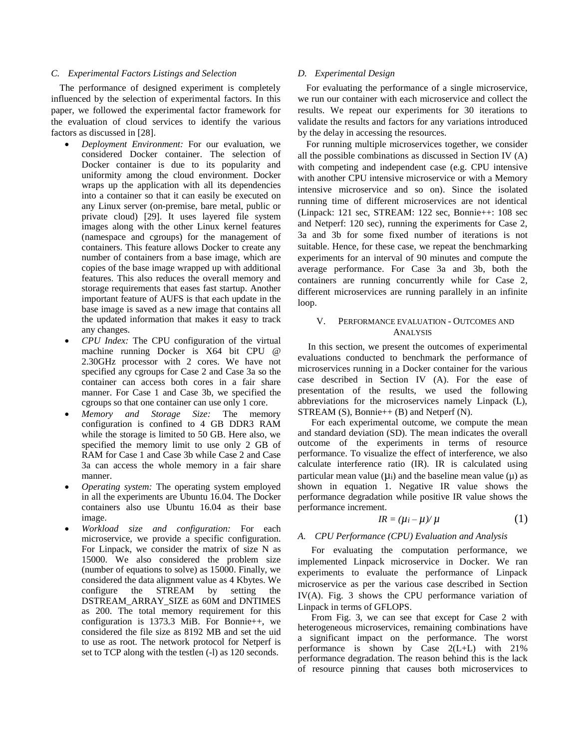### *C. Experimental Factors Listings and Selection*

The performance of designed experiment is completely influenced by the selection of experimental factors. In this paper, we followed the experimental factor framework for the evaluation of cloud services to identify the various factors as discussed in [28].

- *Deployment Environment:* For our evaluation, we considered Docker container. The selection of Docker container is due to its popularity and uniformity among the cloud environment. Docker wraps up the application with all its dependencies into a container so that it can easily be executed on any Linux server (on-premise, bare metal, public or private cloud) [29]. It uses layered file system images along with the other Linux kernel features (namespace and cgroups) for the management of containers. This feature allows Docker to create any number of containers from a base image, which are copies of the base image wrapped up with additional features. This also reduces the overall memory and storage requirements that eases fast startup. Another important feature of AUFS is that each update in the base image is saved as a new image that contains all the updated information that makes it easy to track any changes.
- *CPU Index:* The CPU configuration of the virtual machine running Docker is X64 bit CPU @ 2.30GHz processor with 2 cores. We have not specified any cgroups for Case 2 and Case 3a so the container can access both cores in a fair share manner. For Case 1 and Case 3b, we specified the cgroups so that one container can use only 1 core.
- *Memory and Storage Size:* The memory configuration is confined to 4 GB DDR3 RAM while the storage is limited to 50 GB. Here also, we specified the memory limit to use only 2 GB of RAM for Case 1 and Case 3b while Case 2 and Case 3a can access the whole memory in a fair share manner.
- *Operating system:* The operating system employed in all the experiments are Ubuntu 16.04. The Docker containers also use Ubuntu 16.04 as their base image.
- *Workload size and configuration:* For each microservice, we provide a specific configuration. For Linpack, we consider the matrix of size N as 15000. We also considered the problem size (number of equations to solve) as 15000. Finally, we considered the data alignment value as 4 Kbytes. We configure the STREAM by setting the DSTREAM\_ARRAY\_SIZE as 60M and DNTIMES as 200. The total memory requirement for this configuration is 1373.3 MiB. For Bonnie++, we considered the file size as 8192 MB and set the uid to use as root. The network protocol for Netperf is set to TCP along with the testlen (-l) as 120 seconds.

### *D. Experimental Design*

For evaluating the performance of a single microservice, we run our container with each microservice and collect the results. We repeat our experiments for 30 iterations to validate the results and factors for any variations introduced by the delay in accessing the resources.

For running multiple microservices together, we consider all the possible combinations as discussed in Section IV (A) with competing and independent case (e.g. CPU intensive with another CPU intensive microservice or with a Memory intensive microservice and so on). Since the isolated running time of different microservices are not identical (Linpack: 121 sec, STREAM: 122 sec, Bonnie++: 108 sec and Netperf: 120 sec), running the experiments for Case 2, 3a and 3b for some fixed number of iterations is not suitable. Hence, for these case, we repeat the benchmarking experiments for an interval of 90 minutes and compute the average performance. For Case 3a and 3b, both the containers are running concurrently while for Case 2, different microservices are running parallely in an infinite loop.

### V. PERFORMANCE EVALUATION - OUTCOMES AND **ANALYSIS**

In this section, we present the outcomes of experimental evaluations conducted to benchmark the performance of microservices running in a Docker container for the various case described in Section IV (A). For the ease of presentation of the results, we used the following abbreviations for the microservices namely Linpack (L), STREAM  $(S)$ , Bonnie++  $(B)$  and Netperf  $(N)$ .

For each experimental outcome, we compute the mean and standard deviation (SD). The mean indicates the overall outcome of the experiments in terms of resource performance. To visualize the effect of interference, we also calculate interference ratio (IR). IR is calculated using particular mean value  $(\mu_i)$  and the baseline mean value  $(\mu)$  as shown in equation 1. Negative IR value shows the performance degradation while positive IR value shows the performance increment.

$$
IR = (\mu_i - \mu)/\mu \tag{1}
$$

### *A. CPU Performance (CPU) Evaluation and Analysis*

For evaluating the computation performance, we implemented Linpack microservice in Docker. We ran experiments to evaluate the performance of Linpack microservice as per the various case described in Section IV(A). Fig. 3 shows the CPU performance variation of Linpack in terms of GFLOPS.

From Fig. 3, we can see that except for Case 2 with heterogeneous microservices, remaining combinations have a significant impact on the performance. The worst performance is shown by Case 2(L+L) with 21% performance degradation. The reason behind this is the lack of resource pinning that causes both microservices to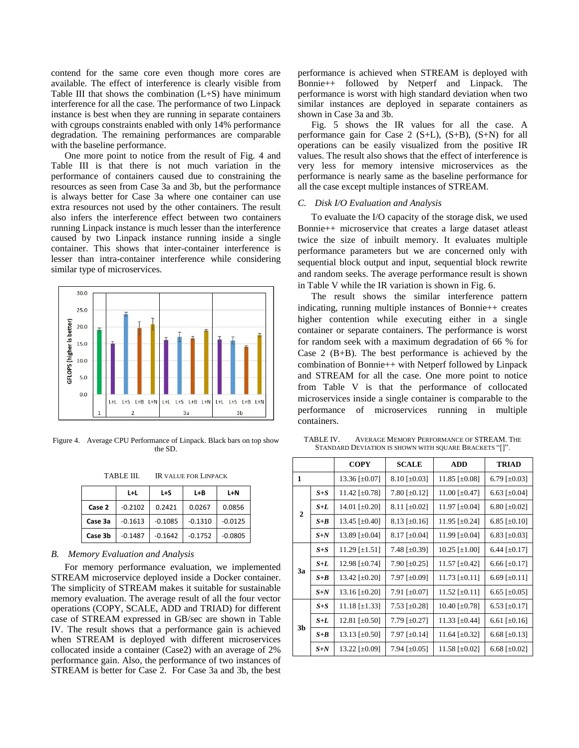contend for the same core even though more cores are available. The effect of interference is clearly visible from Table III that shows the combination  $(L+S)$  have minimum interference for all the case. The performance of two Linpack instance is best when they are running in separate containers with cgroups constraints enabled with only 14% performance degradation. The remaining performances are comparable with the baseline performance.

One more point to notice from the result of Fig. 4 and Table III is that there is not much variation in the performance of containers caused due to constraining the resources as seen from Case 3a and 3b, but the performance is always better for Case 3a where one container can use extra resources not used by the other containers. The result also infers the interference effect between two containers running Linpack instance is much lesser than the interference caused by two Linpack instance running inside a single container. This shows that inter-container interference is lesser than intra-container interference while considering similar type of microservices.



Figure 4. Average CPU Performance of Linpack. Black bars on top show the SD.

TABLE III. IR VALUE FOR LINPACK

|         | L+L       | $L + S$   | L+B       | $L+N$     |
|---------|-----------|-----------|-----------|-----------|
| Case 2  | $-0.2102$ | 0.2421    | 0.0267    | 0.0856    |
| Case 3a | $-0.1613$ | $-0.1085$ | $-0.1310$ | $-0.0125$ |
| Case 3b | $-0.1487$ | $-0.1642$ | $-0.1752$ | $-0.0805$ |

### *B. Memory Evaluation and Analysis*

For memory performance evaluation, we implemented STREAM microservice deployed inside a Docker container. The simplicity of STREAM makes it suitable for sustainable memory evaluation. The average result of all the four vector operations (COPY, SCALE, ADD and TRIAD) for different case of STREAM expressed in GB/sec are shown in Table IV. The result shows that a performance gain is achieved when STREAM is deployed with different microservices collocated inside a container (Case2) with an average of 2% performance gain. Also, the performance of two instances of STREAM is better for Case 2. For Case 3a and 3b, the best

performance is achieved when STREAM is deployed with Bonnie++ followed by Netperf and Linpack. The performance is worst with high standard deviation when two similar instances are deployed in separate containers as shown in Case 3a and 3b.

Fig. 5 shows the IR values for all the case. A performance gain for Case 2 (S+L), (S+B), (S+N) for all operations can be easily visualized from the positive IR values. The result also shows that the effect of interference is very less for memory intensive microservices as the performance is nearly same as the baseline performance for all the case except multiple instances of STREAM.

### *C. Disk I/O Evaluation and Analysis*

To evaluate the I/O capacity of the storage disk, we used Bonnie++ microservice that creates a large dataset atleast twice the size of inbuilt memory. It evaluates multiple performance parameters but we are concerned only with sequential block output and input, sequential block rewrite and random seeks. The average performance result is shown in Table V while the IR variation is shown in Fig. 6.

The result shows the similar interference pattern indicating, running multiple instances of Bonnie++ creates higher contention while executing either in a single container or separate containers. The performance is worst for random seek with a maximum degradation of 66 % for Case 2 (B+B). The best performance is achieved by the combination of Bonnie++ with Netperf followed by Linpack and STREAM for all the case. One more point to notice from Table V is that the performance of collocated microservices inside a single container is comparable to the performance of microservices running in multiple containers.

TABLE IV. AVERAGE MEMORY PERFORMANCE OF STREAM. THE STANDARD DEVIATION IS SHOWN WITH SQUARE BRACKETS "[]".

|                |         | COPY                 | <b>SCALE</b>          | <b>ADD</b>             | <b>TRIAD</b>        |
|----------------|---------|----------------------|-----------------------|------------------------|---------------------|
| 1              |         | 13.36 [ $\pm 0.07$ ] | $8.10$ [ $\pm$ 0.03]  | 11.85 [ $\pm 0.08$ ]   | 6.79 [ $\pm 0.03$ ] |
|                | $S + S$ | 11.42 [ $\pm$ 0.78]  | 7.80 [ $\pm$ 0.12]    | 11.00 [ $\pm$ 0.47]    | 6.63 [ $\pm 0.04$ ] |
| $\mathbf{2}$   | S+L     | 14.01 [ $\pm$ 0.20]  | 8.11 [ $\pm$ 0.02]    | 11.97 [ $\pm 0.04$ ]   | 6.80 [ $\pm$ 0.02]  |
|                | $S+B$   | 13.45 [±0.40]        | $8.13$ [ $\pm$ 0.16]  | 11.95 [ $\pm$ 0.24]    | 6.85 [ $\pm$ 0.10]  |
|                | $S+N$   | 13.89 [ $\pm 0.04$ ] | $8.17$ [ $\pm 0.04$ ] | 11.99 [ $\pm 0.04$ ]   | 6.83 [ $\pm$ 0.03]  |
|                | $S + S$ | 11.29 [ $\pm$ 1.51]  | 7.48 [ $\pm$ 0.39]    | $10.25$ [ $\pm 1.00$ ] | 6.44 [ $\pm$ 0.17]  |
| 3a             | S+L     | 12.98 [ $\pm$ 0.74]  | 7.90 [ $\pm$ 0.25]    | 11.57 [ $\pm$ 0.42]    | 6.66 [ $\pm$ 0.17]  |
|                | $S+B$   | 13.42 [ $\pm$ 0.20]  | 7.97 [ $\pm 0.09$ ]   | 11.73 [ $\pm$ 0.11]    | 6.69 [ $\pm$ 0.11]  |
|                | $S+N$   | 13.16 [ $\pm$ 0.20]  | 7.91 [ $\pm 0.07$ ]   | 11.52 [ $\pm$ 0.11]    | 6.65 [ $\pm$ 0.05]  |
| 3 <sub>b</sub> | $S + S$ | 11.18 [ $\pm$ 1.33]  | 7.53 [ $\pm$ 0.28]    | 10.40 [ $\pm$ 0.78]    | 6.53 [ $\pm$ 0.17]  |
|                | S+L     | 12.81 [ $\pm 0.50$ ] | 7.79 [ $\pm 0.27$ ]   | 11.33 [ $\pm$ 0.44]    | 6.61 [ $\pm$ 0.16]  |
|                | $S+B$   | 13.13 [ $\pm 0.50$ ] | 7.97 [ $\pm$ 0.14]    | 11.64 [ $\pm$ 0.32]    | 6.68 [ $\pm$ 0.13]  |
|                | $S+N$   | 13.22 [ $\pm 0.09$ ] | 7.94 [ $\pm$ 0.05]    | 11.58 [ $\pm$ 0.02]    | 6.68 [ $\pm 0.02$ ] |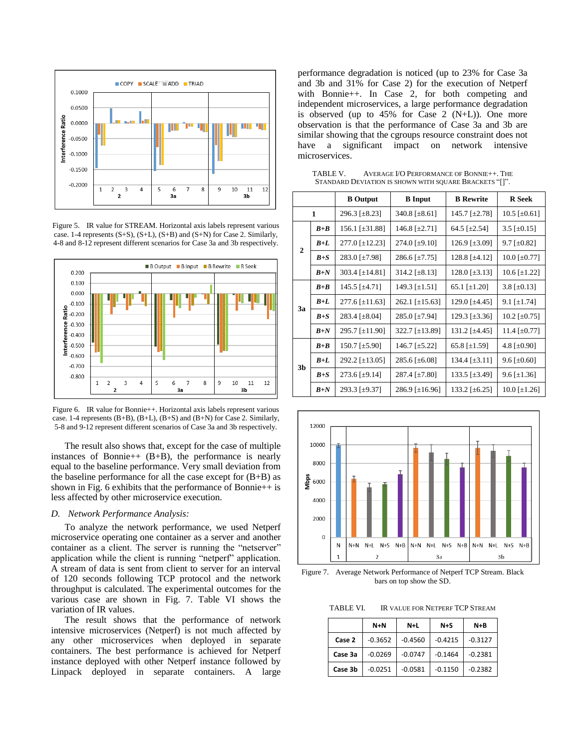

Figure 5. IR value for STREAM. Horizontal axis labels represent various case. 1-4 represents (S+S), (S+L), (S+B) and (S+N) for Case 2. Similarly, 4-8 and 8-12 represent different scenarios for Case 3a and 3b respectively.



Figure 6. IR value for Bonnie++. Horizontal axis labels represent various case. 1-4 represents (B+B), (B+L), (B+S) and (B+N) for Case 2. Similarly, 5-8 and 9-12 represent different scenarios of Case 3a and 3b respectively.

The result also shows that, except for the case of multiple instances of Bonnie+ $+$  (B+B), the performance is nearly equal to the baseline performance. Very small deviation from the baseline performance for all the case except for  $(B+B)$  as shown in Fig. 6 exhibits that the performance of Bonnie++ is less affected by other microservice execution.

### *D. Network Performance Analysis:*

To analyze the network performance, we used Netperf microservice operating one container as a server and another container as a client. The server is running the "netserver" application while the client is running "netperf" application. A stream of data is sent from client to server for an interval of 120 seconds following TCP protocol and the network throughput is calculated. The experimental outcomes for the various case are shown in Fig. 7. Table VI shows the variation of IR values.

The result shows that the performance of network intensive microservices (Netperf) is not much affected by any other microservices when deployed in separate containers. The best performance is achieved for Netperf instance deployed with other Netperf instance followed by Linpack deployed in separate containers. A large

performance degradation is noticed (up to 23% for Case 3a and 3b and 31% for Case 2) for the execution of Netperf with Bonnie++. In Case 2, for both competing and independent microservices, a large performance degradation is observed (up to  $45\%$  for Case 2 (N+L)). One more observation is that the performance of Case 3a and 3b are similar showing that the cgroups resource constraint does not have a significant impact on network intensive microservices.

TABLE V. AVERAGE I/O PERFORMANCE OF BONNIE++. THE STANDARD DEVIATION IS SHOWN WITH SQUARE BRACKETS "[]".

|                |         | <b>B</b> Output        | <b>B</b> Input       | <b>B</b> Rewrite     | <b>R</b> Seek      |
|----------------|---------|------------------------|----------------------|----------------------|--------------------|
| 1              |         | 296.3 [ $\pm$ 8.23]    | 340.8 [ $\pm$ 8.61]  | 145.7 [ $\pm 2.78$ ] | 10.5 [ $\pm$ 0.61] |
|                | $B + B$ | 156.1 [ $\pm$ 31.88]   | 146.8 [ $\pm 2.71$ ] | 64.5 [ $\pm 2.54$ ]  | 3.5 [ $\pm$ 0.15]  |
| $\overline{2}$ | $B+L$   | $277.0$ [ $\pm$ 12.23] | 274.0 [±9.10]        | 126.9 [ $\pm$ 3.09]  | 9.7 [ $\pm$ 0.82]  |
|                | $B + S$ | 283.0 [±7.98]          | 286.6 [ $\pm$ 7.75]  | 128.8 [ $\pm$ 4.12]  | 10.0 [ $\pm$ 0.77] |
|                | $B+N$   | 303.4 [ $\pm$ 14.81]   | 314.2 [ $\pm$ 8.13]  | 128.0 [ $\pm$ 3.13]  | 10.6 [ $\pm$ 1.22] |
|                | $B + B$ | 145.5 [ $\pm$ 4.71]    | 149.3 [ $\pm 1.51$ ] | 65.1 [ $\pm$ 1.20]   | 3.8 [ $\pm$ 0.13]  |
|                | $B+L$   | 277.6 [ $\pm$ 11.63]   | 262.1 [ $\pm$ 15.63] | 129.0 [ $\pm$ 4.45]  | 9.1 [ $\pm$ 1.74]  |
| 3a             | $B + S$ | 283.4 [ $\pm$ 8.04]    | 285.0 [±7.94]        | 129.3 [ $\pm$ 3.36]  | 10.2 [ $\pm$ 0.75] |
|                | $B+N$   | 295.7 [±11.90]         | 322.7 [±13.89]       | 131.2 [ $\pm$ 4.45]  | 11.4 [ $\pm$ 0.77] |
| 3 <sub>b</sub> | $B + B$ | 150.7 [ $\pm$ 5.90]    | 146.7 [ $\pm$ 5.22]  | 65.8 [ $\pm$ 1.59]   | 4.8 [ $\pm 0.90$ ] |
|                | $B+L$   | 292.2 [ $\pm$ 13.05]   | 285.6 [ $\pm$ 6.08]  | 134.4 [ $\pm$ 3.11]  | 9.6 [ $\pm 0.60$ ] |
|                | $B + S$ | 273.6 [ $\pm$ 9.14]    | 287.4 [±7.80]        | 133.5 [ $\pm$ 3.49]  | 9.6 [ $\pm$ 1.36]  |
|                | $B+N$   | 293.3 [±9.37]          | 286.9 [ $\pm$ 16.96] | 133.2 [ $\pm$ 6.25]  | 10.0 [ $\pm$ 1.26] |



Figure 7. Average Network Performance of Netperf TCP Stream. Black bars on top show the SD.

TABLE VI. IR VALUE FOR NETPERF TCP STREAM

|         | $N+N$     | N+L       | $N+S$     | $N+B$     |
|---------|-----------|-----------|-----------|-----------|
| Case 2  | $-0.3652$ | $-0.4560$ | $-0.4215$ | $-0.3127$ |
| Case 3a | $-0.0269$ | $-0.0747$ | $-0.1464$ | $-0.2381$ |
| Case 3b | $-0.0251$ | $-0.0581$ | $-0.1150$ | $-0.2382$ |